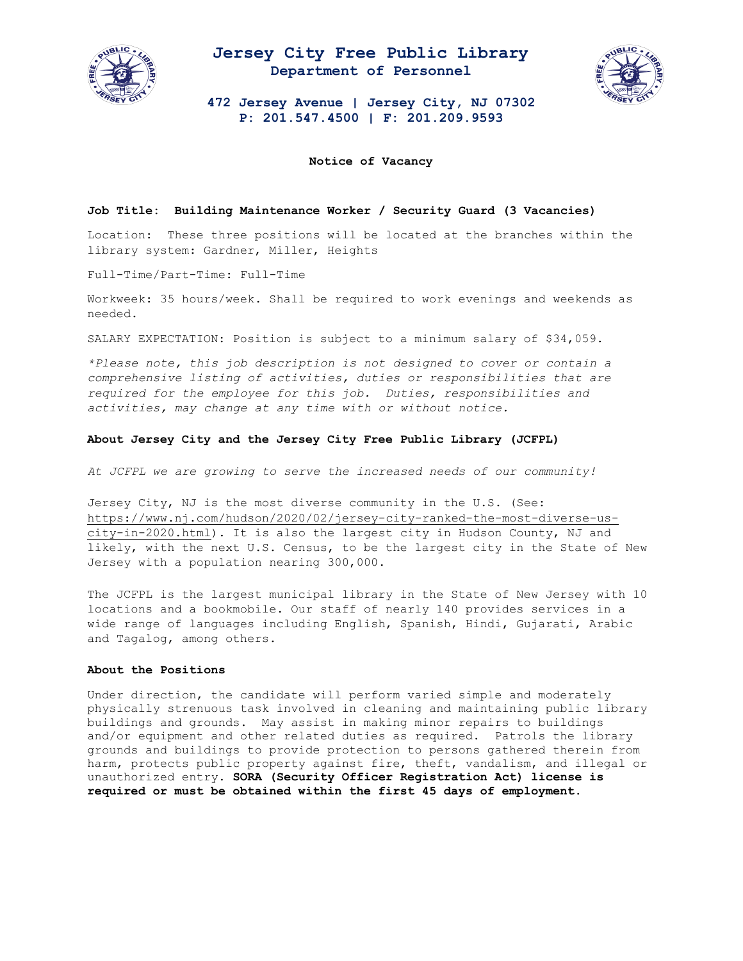

## **Jersey City Free Public Library Department of Personnel**



**472 Jersey Avenue | Jersey City, NJ 07302 P: 201.547.4500 | F: 201.209.9593**

**Notice of Vacancy**

### **Job Title: Building Maintenance Worker / Security Guard (3 Vacancies)**

Location: These three positions will be located at the branches within the library system: Gardner, Miller, Heights

Full-Time/Part-Time: Full-Time

Workweek: 35 hours/week. Shall be required to work evenings and weekends as needed.

SALARY EXPECTATION: Position is subject to a minimum salary of \$34,059.

*\*Please note, this job description is not designed to cover or contain a comprehensive listing of activities, duties or responsibilities that are required for the employee for this job. Duties, responsibilities and activities, may change at any time with or without notice.* 

### **About Jersey City and the Jersey City Free Public Library (JCFPL)**

*At JCFPL we are growing to serve the increased needs of our community!*

Jersey City, NJ is the most diverse community in the U.S. (See: [https://www.nj.com/hudson/2020/02/jersey-city-ranked-the-most-diverse-us](https://www.nj.com/hudson/2020/02/jersey-city-ranked-the-most-diverse-us-city-in-2020.html)[city-in-2020.html\)](https://www.nj.com/hudson/2020/02/jersey-city-ranked-the-most-diverse-us-city-in-2020.html). It is also the largest city in Hudson County, NJ and likely, with the next U.S. Census, to be the largest city in the State of New Jersey with a population nearing 300,000.

The JCFPL is the largest municipal library in the State of New Jersey with 10 locations and a bookmobile. Our staff of nearly 140 provides services in a wide range of languages including English, Spanish, Hindi, Gujarati, Arabic and Tagalog, among others.

#### **About the Positions**

Under direction, the candidate will perform varied simple and moderately physically strenuous task involved in cleaning and maintaining public library buildings and grounds. May assist in making minor repairs to buildings and/or equipment and other related duties as required. Patrols the library grounds and buildings to provide protection to persons gathered therein from harm, protects public property against fire, theft, vandalism, and illegal or unauthorized entry. **SORA (Security Officer Registration Act) license is required or must be obtained within the first 45 days of employment.**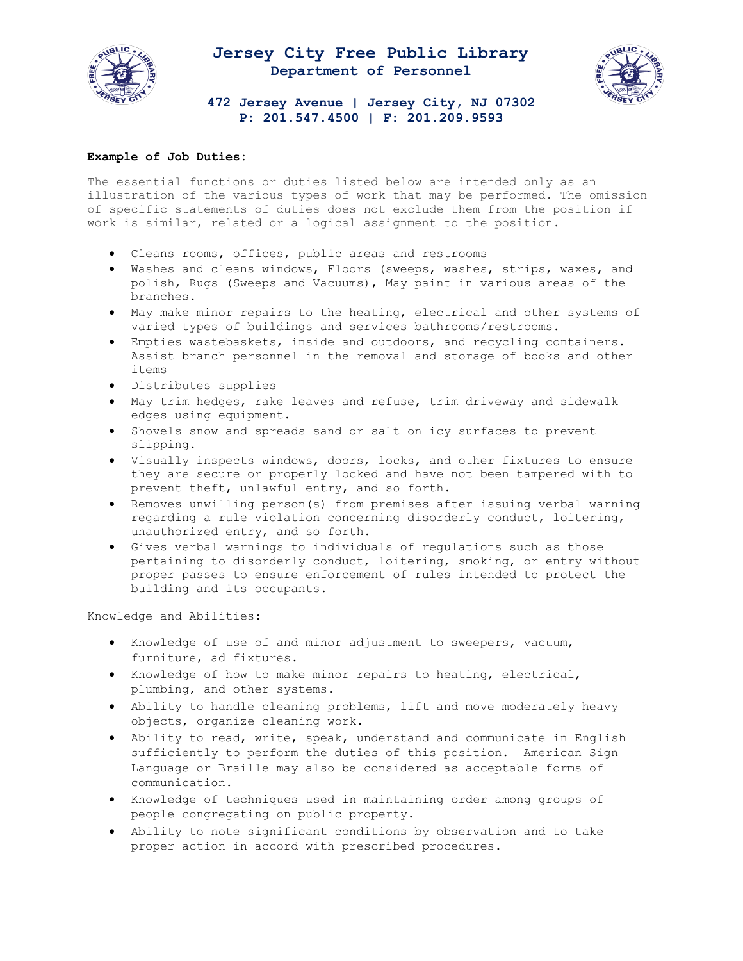

# **Jersey City Free Public Library Department of Personnel**



**472 Jersey Avenue | Jersey City, NJ 07302 P: 201.547.4500 | F: 201.209.9593**

### **Example of Job Duties:**

The essential functions or duties listed below are intended only as an illustration of the various types of work that may be performed. The omission of specific statements of duties does not exclude them from the position if work is similar, related or a logical assignment to the position.

- Cleans rooms, offices, public areas and restrooms
- Washes and cleans windows, Floors (sweeps, washes, strips, waxes, and polish, Rugs (Sweeps and Vacuums), May paint in various areas of the branches.
- May make minor repairs to the heating, electrical and other systems of varied types of buildings and services bathrooms/restrooms.
- Empties wastebaskets, inside and outdoors, and recycling containers. Assist branch personnel in the removal and storage of books and other items
- Distributes supplies
- May trim hedges, rake leaves and refuse, trim driveway and sidewalk edges using equipment.
- Shovels snow and spreads sand or salt on icy surfaces to prevent slipping.
- Visually inspects windows, doors, locks, and other fixtures to ensure they are secure or properly locked and have not been tampered with to prevent theft, unlawful entry, and so forth.
- Removes unwilling person(s) from premises after issuing verbal warning regarding a rule violation concerning disorderly conduct, loitering, unauthorized entry, and so forth.
- Gives verbal warnings to individuals of regulations such as those pertaining to disorderly conduct, loitering, smoking, or entry without proper passes to ensure enforcement of rules intended to protect the building and its occupants.

Knowledge and Abilities:

- Knowledge of use of and minor adjustment to sweepers, vacuum, furniture, ad fixtures.
- Knowledge of how to make minor repairs to heating, electrical, plumbing, and other systems.
- Ability to handle cleaning problems, lift and move moderately heavy objects, organize cleaning work.
- Ability to read, write, speak, understand and communicate in English sufficiently to perform the duties of this position. American Sign Language or Braille may also be considered as acceptable forms of communication.
- Knowledge of techniques used in maintaining order among groups of people congregating on public property.
- Ability to note significant conditions by observation and to take proper action in accord with prescribed procedures.